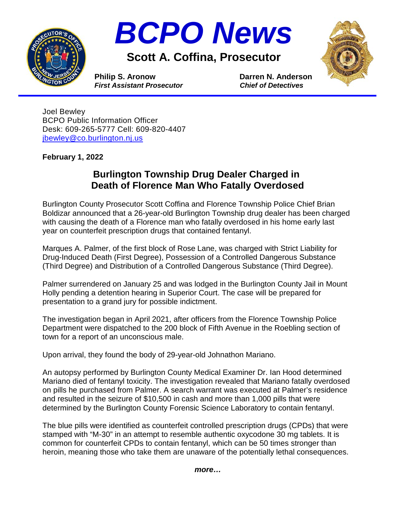



**Scott A. Coffina, Prosecutor**



**Philip S. Aronow Darren N. Anderson**<br> *First Assistant Prosecutor* Chief of Detectives *First Assistant Prosecutor* 

Joel Bewley BCPO Public Information Officer Desk: 609-265-5777 Cell: 609-820-4407 [jbewley@co.burlington.nj.us](mailto:jbewley@co.burlington.nj.us)

**February 1, 2022**

## **Burlington Township Drug Dealer Charged in Death of Florence Man Who Fatally Overdosed**

Burlington County Prosecutor Scott Coffina and Florence Township Police Chief Brian Boldizar announced that a 26-year-old Burlington Township drug dealer has been charged with causing the death of a Florence man who fatally overdosed in his home early last year on counterfeit prescription drugs that contained fentanyl.

Marques A. Palmer, of the first block of Rose Lane, was charged with Strict Liability for Drug-Induced Death (First Degree), Possession of a Controlled Dangerous Substance (Third Degree) and Distribution of a Controlled Dangerous Substance (Third Degree).

Palmer surrendered on January 25 and was lodged in the Burlington County Jail in Mount Holly pending a detention hearing in Superior Court. The case will be prepared for presentation to a grand jury for possible indictment.

The investigation began in April 2021, after officers from the Florence Township Police Department were dispatched to the 200 block of Fifth Avenue in the Roebling section of town for a report of an unconscious male.

Upon arrival, they found the body of 29-year-old Johnathon Mariano.

An autopsy performed by Burlington County Medical Examiner Dr. Ian Hood determined Mariano died of fentanyl toxicity. The investigation revealed that Mariano fatally overdosed on pills he purchased from Palmer. A search warrant was executed at Palmer's residence and resulted in the seizure of \$10,500 in cash and more than 1,000 pills that were determined by the Burlington County Forensic Science Laboratory to contain fentanyl.

The blue pills were identified as counterfeit controlled prescription drugs (CPDs) that were stamped with "M-30" in an attempt to resemble authentic oxycodone 30 mg tablets. It is common for counterfeit CPDs to contain fentanyl, which can be 50 times stronger than heroin, meaning those who take them are unaware of the potentially lethal consequences.